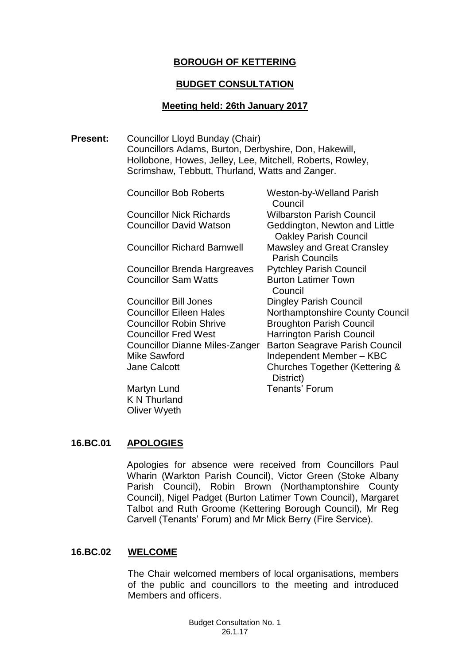# **BOROUGH OF KETTERING**

#### **BUDGET CONSULTATION**

### **Meeting held: 26th January 2017**

**Present:** Councillor Lloyd Bunday (Chair) Councillors Adams, Burton, Derbyshire, Don, Hakewill, Hollobone, Howes, Jelley, Lee, Mitchell, Roberts, Rowley, Scrimshaw, Tebbutt, Thurland, Watts and Zanger.

> Councillor Bob Roberts Weston-by-Welland Parish Council Councillor Nick Richards Wilbarston Parish Council Councillor David Watson Geddington, Newton and Little Oakley Parish Council Councillor Richard Barnwell Mawsley and Great Cransley Parish Councils Councillor Brenda Hargreaves Pytchley Parish Council **Councillor Sam Watts Burton Latimer Town**  Council Councillor Bill Jones Dingley Parish Council Councillor Eileen Hales Northamptonshire County Council Councillor Robin Shrive **Broughton Parish Council Councillor Fred West** Harrington Parish Council Councillor Dianne Miles-Zanger Barton Seagrave Parish Council Mike Sawford **Independent Member – KBC** Jane Calcott Churches Together (Kettering & District) Martyn Lund **Tenants'** Forum

K N Thurland Oliver Wyeth

# **16.BC.01 APOLOGIES**

Apologies for absence were received from Councillors Paul Wharin (Warkton Parish Council), Victor Green (Stoke Albany Parish Council), Robin Brown (Northamptonshire County Council), Nigel Padget (Burton Latimer Town Council), Margaret Talbot and Ruth Groome (Kettering Borough Council), Mr Reg Carvell (Tenants' Forum) and Mr Mick Berry (Fire Service).

#### **16.BC.02 WELCOME**

The Chair welcomed members of local organisations, members of the public and councillors to the meeting and introduced Members and officers.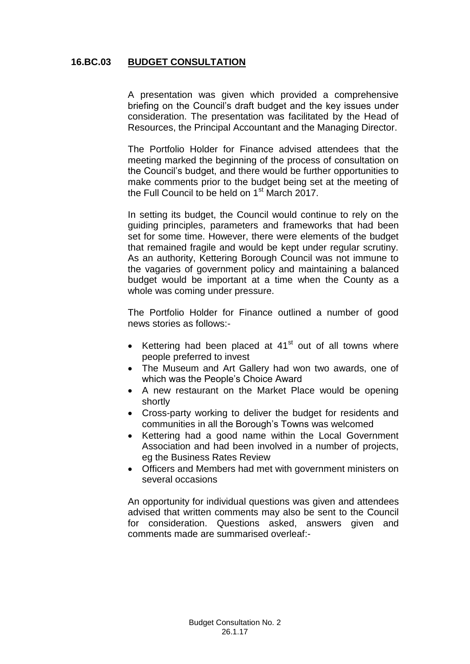### **16.BC.03 BUDGET CONSULTATION**

A presentation was given which provided a comprehensive briefing on the Council's draft budget and the key issues under consideration. The presentation was facilitated by the Head of Resources, the Principal Accountant and the Managing Director.

The Portfolio Holder for Finance advised attendees that the meeting marked the beginning of the process of consultation on the Council's budget, and there would be further opportunities to make comments prior to the budget being set at the meeting of the Full Council to be held on  $1<sup>st</sup>$  March 2017.

In setting its budget, the Council would continue to rely on the guiding principles, parameters and frameworks that had been set for some time. However, there were elements of the budget that remained fragile and would be kept under regular scrutiny. As an authority, Kettering Borough Council was not immune to the vagaries of government policy and maintaining a balanced budget would be important at a time when the County as a whole was coming under pressure.

The Portfolio Holder for Finance outlined a number of good news stories as follows:-

- $\bullet$  Kettering had been placed at 41 $^{\rm st}$  out of all towns where people preferred to invest
- The Museum and Art Gallery had won two awards, one of which was the People's Choice Award
- A new restaurant on the Market Place would be opening shortly
- Cross-party working to deliver the budget for residents and communities in all the Borough's Towns was welcomed
- Kettering had a good name within the Local Government Association and had been involved in a number of projects, eg the Business Rates Review
- Officers and Members had met with government ministers on several occasions

An opportunity for individual questions was given and attendees advised that written comments may also be sent to the Council for consideration. Questions asked, answers given and comments made are summarised overleaf:-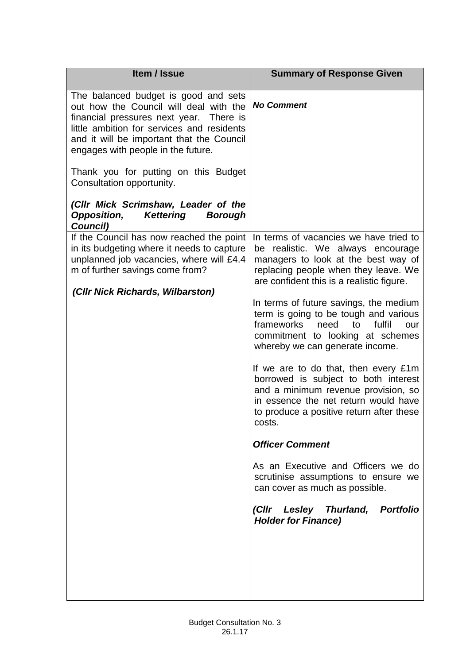| Item / Issue                                                                                                                                                                                                                                               | <b>Summary of Response Given</b>                                                                                                                                                                                  |
|------------------------------------------------------------------------------------------------------------------------------------------------------------------------------------------------------------------------------------------------------------|-------------------------------------------------------------------------------------------------------------------------------------------------------------------------------------------------------------------|
| The balanced budget is good and sets<br>out how the Council will deal with the<br>financial pressures next year. There is<br>little ambition for services and residents<br>and it will be important that the Council<br>engages with people in the future. | <b>No Comment</b>                                                                                                                                                                                                 |
| Thank you for putting on this Budget<br>Consultation opportunity.                                                                                                                                                                                          |                                                                                                                                                                                                                   |
| (Cllr Mick Scrimshaw, Leader of the<br><b>Opposition,</b><br><b>Kettering</b><br><b>Borough</b><br>Council)                                                                                                                                                |                                                                                                                                                                                                                   |
| If the Council has now reached the point<br>in its budgeting where it needs to capture<br>unplanned job vacancies, where will £4.4<br>m of further savings come from?                                                                                      | In terms of vacancies we have tried to<br>be realistic. We always encourage<br>managers to look at the best way of<br>replacing people when they leave. We<br>are confident this is a realistic figure.           |
| (Cllr Nick Richards, Wilbarston)                                                                                                                                                                                                                           | In terms of future savings, the medium<br>term is going to be tough and various<br>frameworks<br>need<br>fulfil<br>to<br>our<br>commitment to looking at schemes<br>whereby we can generate income.               |
|                                                                                                                                                                                                                                                            | If we are to do that, then every £1m<br>borrowed is subject to both interest<br>and a minimum revenue provision, so<br>in essence the net return would have<br>to produce a positive return after these<br>costs. |
|                                                                                                                                                                                                                                                            | <b>Officer Comment</b>                                                                                                                                                                                            |
|                                                                                                                                                                                                                                                            | As an Executive and Officers we do<br>scrutinise assumptions to ensure we<br>can cover as much as possible.                                                                                                       |
|                                                                                                                                                                                                                                                            | (Cllr Lesley Thurland, Portfolio<br><b>Holder for Finance)</b>                                                                                                                                                    |
|                                                                                                                                                                                                                                                            |                                                                                                                                                                                                                   |
|                                                                                                                                                                                                                                                            |                                                                                                                                                                                                                   |